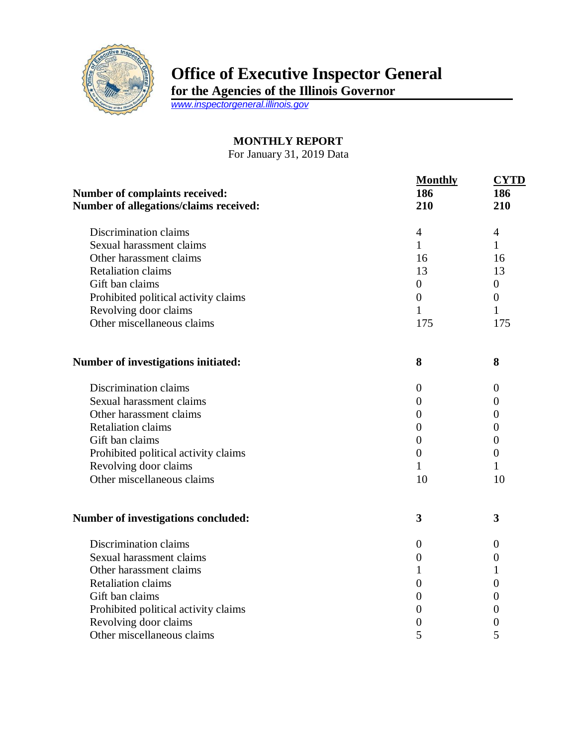

## **Office of Executive Inspector General**

**for the Agencies of the Illinois Governor**

*[www.inspectorgeneral.illinois.gov](http://www.inspectorgeneral.illinois.gov/)*

## **MONTHLY REPORT**

For January 31, 2019 Data

| <b>Number of complaints received:</b><br>Number of allegations/claims received: | <b>Monthly</b><br>186<br>210 | <b>CYTD</b><br>186<br>210 |
|---------------------------------------------------------------------------------|------------------------------|---------------------------|
| Discrimination claims                                                           | $\overline{4}$               | $\overline{4}$            |
| Sexual harassment claims                                                        | $\mathbf{1}$                 | 1                         |
| Other harassment claims                                                         | 16                           | 16                        |
| <b>Retaliation claims</b>                                                       | 13                           | 13                        |
| Gift ban claims                                                                 | $\boldsymbol{0}$             | $\theta$                  |
| Prohibited political activity claims                                            | $\boldsymbol{0}$             | $\boldsymbol{0}$          |
| Revolving door claims                                                           | 1                            | 1                         |
| Other miscellaneous claims                                                      | 175                          | 175                       |
| Number of investigations initiated:                                             | 8                            | 8                         |
| Discrimination claims                                                           | $\boldsymbol{0}$             | $\overline{0}$            |
| Sexual harassment claims                                                        | $\boldsymbol{0}$             | $\overline{0}$            |
| Other harassment claims                                                         | $\boldsymbol{0}$             | $\theta$                  |
| <b>Retaliation claims</b>                                                       | $\theta$                     | $\overline{0}$            |
| Gift ban claims                                                                 | $\boldsymbol{0}$             | $\overline{0}$            |
| Prohibited political activity claims                                            | $\overline{0}$               | $\overline{0}$            |
| Revolving door claims                                                           | $\mathbf{1}$                 | 1                         |
| Other miscellaneous claims                                                      | 10                           | 10                        |
| <b>Number of investigations concluded:</b>                                      | 3                            | 3                         |
| Discrimination claims                                                           | $\theta$                     | $\overline{0}$            |
| Sexual harassment claims                                                        | $\boldsymbol{0}$             | $\boldsymbol{0}$          |
| Other harassment claims                                                         | $\mathbf{1}$                 | 1                         |
| <b>Retaliation claims</b>                                                       | $\overline{0}$               | 0                         |
| Gift ban claims                                                                 | $\theta$                     | $\theta$                  |
| Prohibited political activity claims                                            | $\boldsymbol{0}$             | $\overline{0}$            |
| Revolving door claims                                                           | $\boldsymbol{0}$             | $\boldsymbol{0}$          |
| Other miscellaneous claims                                                      | 5                            | 5                         |